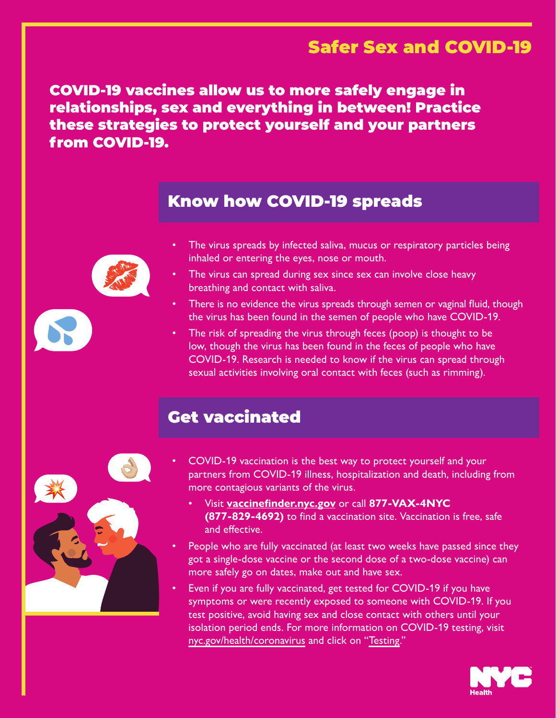### Safer Sex and COVID-19

COVID-19 vaccines allow us to more safely engage in relationships, sex and everything in between! Practice these strategies to protect yourself and your partners from COVID-19.

### Know how COVID-19 spreads

- 
- The virus spreads by infected saliva, mucus or respiratory particles being inhaled or entering the eyes, nose or mouth.
	- The virus can spread during sex since sex can involve close heavy breathing and contact with saliva.
	- There is no evidence the virus spreads through semen or vaginal fluid, though the virus has been found in the semen of people who have COVID-19.
	- The risk of spreading the virus through feces (poop) is thought to be low, though the virus has been found in the feces of people who have COVID-19. Research is needed to know if the virus can spread through sexual activities involving oral contact with feces (such as rimming).

## Get vaccinated



- COVID-19 vaccination is the best way to protect yourself and your partners from COVID-19 illness, hospitalization and death, including from more contagious variants of the virus.
	- Visit **[vaccinefinder.nyc.gov](http://vaccinefinder.nyc.gov)** or call **877-VAX-4NYC (877-829-4692)** to find a vaccination site. Vaccination is free, safe and effective.
- People who are fully vaccinated (at least two weeks have passed since they got a single-dose vaccine or the second dose of a two-dose vaccine) can more safely go on dates, make out and have sex.
- Even if you are fully vaccinated, get tested for COVID-19 if you have symptoms or were recently exposed to someone with COVID-19. If you test positive, avoid having sex and close contact with others until your isolation period ends. For more information on COVID-19 testing, visit [nyc.gov/health/coronavirus](https://www1.nyc.gov/site/doh/covid/covid-19-main.page) and click on ["Testing](https://www1.nyc.gov/site/doh/covid/covid-19-testing.page)."